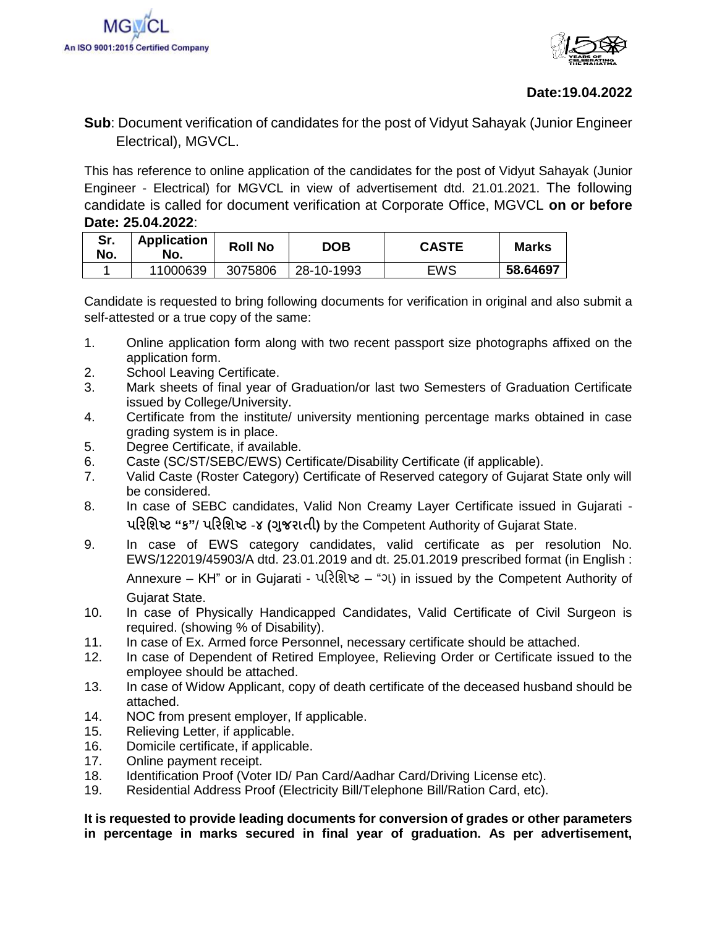



## **Date:19.04.2022**

## **Sub**: Document verification of candidates for the post of Vidyut Sahayak (Junior Engineer Electrical), MGVCL.

This has reference to online application of the candidates for the post of Vidyut Sahayak (Junior Engineer - Electrical) for MGVCL in view of advertisement dtd. 21.01.2021. The following candidate is called for document verification at Corporate Office, MGVCL **on or before Date: 25.04.2022**:

| Sr.<br>No. | <b>Application</b><br>No. | <b>Roll No</b> | <b>DOB</b> | <b>CASTE</b> | Marks    |
|------------|---------------------------|----------------|------------|--------------|----------|
|            | 11000639                  | 3075806        | 28-10-1993 | EWS          | 58.64697 |

Candidate is requested to bring following documents for verification in original and also submit a self-attested or a true copy of the same:

- 1. Online application form along with two recent passport size photographs affixed on the application form.
- 2. School Leaving Certificate.
- 3. Mark sheets of final year of Graduation/or last two Semesters of Graduation Certificate issued by College/University.
- 4. Certificate from the institute/ university mentioning percentage marks obtained in case grading system is in place.
- 5. Degree Certificate, if available.
- 6. Caste (SC/ST/SEBC/EWS) Certificate/Disability Certificate (if applicable).
- 7. Valid Caste (Roster Category) Certificate of Reserved category of Gujarat State only will be considered.
- 8. In case of SEBC candidates, Valid Non Creamy Layer Certificate issued in Gujarati **પરિશિષ્ટ "ક"**/ **પરિશિષ્ટ** -**૪ (ગજુ િાતી)** by the Competent Authority of Gujarat State.
- 9. In case of EWS category candidates, valid certificate as per resolution No. EWS/122019/45903/A dtd. 23.01.2019 and dt. 25.01.2019 prescribed format (in English : Annexure – KH" or in Gujarati - પરિશિષ્ટ – "ગ) in issued by the Competent Authority of Gujarat State.
- 10. In case of Physically Handicapped Candidates, Valid Certificate of Civil Surgeon is required. (showing % of Disability).
- 11. In case of Ex. Armed force Personnel, necessary certificate should be attached.
- 12. In case of Dependent of Retired Employee, Relieving Order or Certificate issued to the employee should be attached.
- 13. In case of Widow Applicant, copy of death certificate of the deceased husband should be attached.
- 14. NOC from present employer, If applicable.
- 15. Relieving Letter, if applicable.
- 16. Domicile certificate, if applicable.
- 17. Online payment receipt.
- 18. Identification Proof (Voter ID/ Pan Card/Aadhar Card/Driving License etc).
- 19. Residential Address Proof (Electricity Bill/Telephone Bill/Ration Card, etc).

**It is requested to provide leading documents for conversion of grades or other parameters in percentage in marks secured in final year of graduation. As per advertisement,**